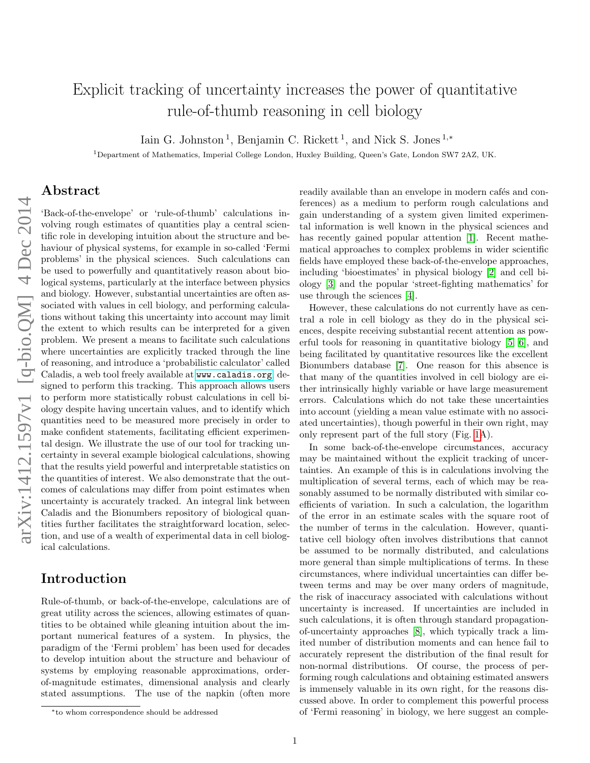# Explicit tracking of uncertainty increases the power of quantitative rule-of-thumb reasoning in cell biology

Iain G. Johnston<sup>1</sup>, Benjamin C. Rickett<sup>1</sup>, and Nick S. Jones<sup>1,\*</sup>

<sup>1</sup>Department of Mathematics, Imperial College London, Huxley Building, Queen's Gate, London SW7 2AZ, UK.

#### Abstract

'Back-of-the-envelope' or 'rule-of-thumb' calculations involving rough estimates of quantities play a central scientific role in developing intuition about the structure and behaviour of physical systems, for example in so-called 'Fermi problems' in the physical sciences. Such calculations can be used to powerfully and quantitatively reason about biological systems, particularly at the interface between physics and biology. However, substantial uncertainties are often associated with values in cell biology, and performing calculations without taking this uncertainty into account may limit the extent to which results can be interpreted for a given problem. We present a means to facilitate such calculations where uncertainties are explicitly tracked through the line of reasoning, and introduce a 'probabilistic calculator' called Caladis, a web tool freely available at <www.caladis.org>, designed to perform this tracking. This approach allows users to perform more statistically robust calculations in cell biology despite having uncertain values, and to identify which quantities need to be measured more precisely in order to make confident statements, facilitating efficient experimental design. We illustrate the use of our tool for tracking uncertainty in several example biological calculations, showing that the results yield powerful and interpretable statistics on the quantities of interest. We also demonstrate that the outcomes of calculations may differ from point estimates when uncertainty is accurately tracked. An integral link between Caladis and the Bionumbers repository of biological quantities further facilitates the straightforward location, selection, and use of a wealth of experimental data in cell biological calculations.

### Introduction

Rule-of-thumb, or back-of-the-envelope, calculations are of great utility across the sciences, allowing estimates of quantities to be obtained while gleaning intuition about the important numerical features of a system. In physics, the paradigm of the 'Fermi problem' has been used for decades to develop intuition about the structure and behaviour of systems by employing reasonable approximations, orderof-magnitude estimates, dimensional analysis and clearly stated assumptions. The use of the napkin (often more

<sup>∗</sup>to whom correspondence should be addressed

readily available than an envelope in modern cafés and conferences) as a medium to perform rough calculations and gain understanding of a system given limited experimental information is well known in the physical sciences and has recently gained popular attention [\[1\]](#page-6-0). Recent mathematical approaches to complex problems in wider scientific fields have employed these back-of-the-envelope approaches, including 'bioestimates' in physical biology [\[2\]](#page-6-1) and cell biology [\[3\]](#page-6-2) and the popular 'street-fighting mathematics' for use through the sciences [\[4\]](#page-6-3).

However, these calculations do not currently have as central a role in cell biology as they do in the physical sciences, despite receiving substantial recent attention as powerful tools for reasoning in quantitative biology [\[5,](#page-6-4) [6\]](#page-6-5), and being facilitated by quantitative resources like the excellent Bionumbers database [\[7\]](#page-6-6). One reason for this absence is that many of the quantities involved in cell biology are either intrinsically highly variable or have large measurement errors. Calculations which do not take these uncertainties into account (yielding a mean value estimate with no associated uncertainties), though powerful in their own right, may only represent part of the full story (Fig. [1A](#page-1-0)).

In some back-of-the-envelope circumstances, accuracy may be maintained without the explicit tracking of uncertainties. An example of this is in calculations involving the multiplication of several terms, each of which may be reasonably assumed to be normally distributed with similar coefficients of variation. In such a calculation, the logarithm of the error in an estimate scales with the square root of the number of terms in the calculation. However, quantitative cell biology often involves distributions that cannot be assumed to be normally distributed, and calculations more general than simple multiplications of terms. In these circumstances, where individual uncertainties can differ between terms and may be over many orders of magnitude, the risk of inaccuracy associated with calculations without uncertainty is increased. If uncertainties are included in such calculations, it is often through standard propagationof-uncertainty approaches [\[8\]](#page-6-7), which typically track a limited number of distribution moments and can hence fail to accurately represent the distribution of the final result for non-normal distributions. Of course, the process of performing rough calculations and obtaining estimated answers is immensely valuable in its own right, for the reasons discussed above. In order to complement this powerful process of 'Fermi reasoning' in biology, we here suggest an comple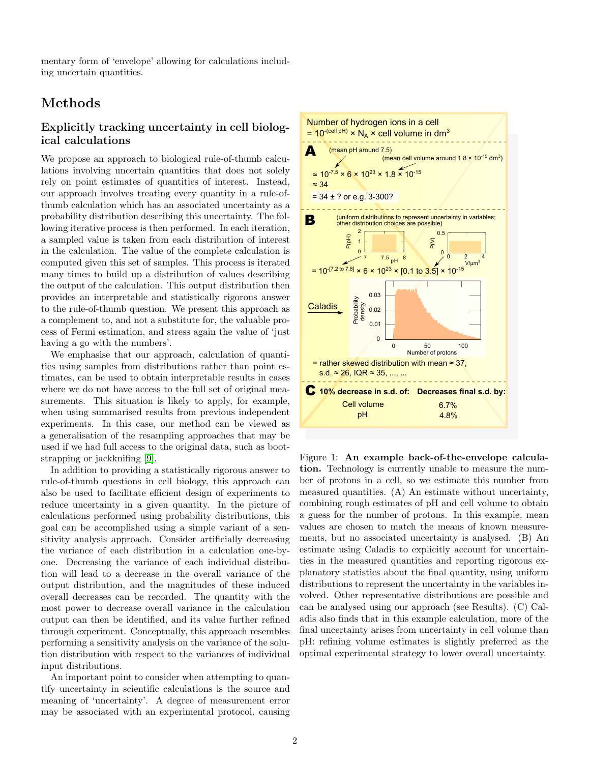mentary form of 'envelope' allowing for calculations including uncertain quantities.

# Methods

#### Explicitly tracking uncertainty in cell biological calculations

We propose an approach to biological rule-of-thumb calculations involving uncertain quantities that does not solely rely on point estimates of quantities of interest. Instead, our approach involves treating every quantity in a rule-ofthumb calculation which has an associated uncertainty as a probability distribution describing this uncertainty. The following iterative process is then performed. In each iteration, a sampled value is taken from each distribution of interest in the calculation. The value of the complete calculation is computed given this set of samples. This process is iterated many times to build up a distribution of values describing the output of the calculation. This output distribution then provides an interpretable and statistically rigorous answer to the rule-of-thumb question. We present this approach as a complement to, and not a substitute for, the valuable process of Fermi estimation, and stress again the value of 'just having a go with the numbers'.

We emphasise that our approach, calculation of quantities using samples from distributions rather than point estimates, can be used to obtain interpretable results in cases where we do not have access to the full set of original measurements. This situation is likely to apply, for example, when using summarised results from previous independent experiments. In this case, our method can be viewed as a generalisation of the resampling approaches that may be used if we had full access to the original data, such as bootstrapping or jackknifing [\[9\]](#page-6-8).

In addition to providing a statistically rigorous answer to rule-of-thumb questions in cell biology, this approach can also be used to facilitate efficient design of experiments to reduce uncertainty in a given quantity. In the picture of calculations performed using probability distributions, this goal can be accomplished using a simple variant of a sensitivity analysis approach. Consider artificially decreasing the variance of each distribution in a calculation one-byone. Decreasing the variance of each individual distribution will lead to a decrease in the overall variance of the output distribution, and the magnitudes of these induced overall decreases can be recorded. The quantity with the most power to decrease overall variance in the calculation output can then be identified, and its value further refined through experiment. Conceptually, this approach resembles performing a sensitivity analysis on the variance of the solution distribution with respect to the variances of individual input distributions.

An important point to consider when attempting to quantify uncertainty in scientific calculations is the source and meaning of 'uncertainty'. A degree of measurement error may be associated with an experimental protocol, causing



<span id="page-1-0"></span>Figure 1: An example back-of-the-envelope calculation. Technology is currently unable to measure the number of protons in a cell, so we estimate this number from measured quantities. (A) An estimate without uncertainty, combining rough estimates of pH and cell volume to obtain a guess for the number of protons. In this example, mean values are chosen to match the means of known measurements, but no associated uncertainty is analysed. (B) An estimate using Caladis to explicitly account for uncertainties in the measured quantities and reporting rigorous explanatory statistics about the final quantity, using uniform distributions to represent the uncertainty in the variables involved. Other representative distributions are possible and can be analysed using our approach (see Results). (C) Caladis also finds that in this example calculation, more of the final uncertainty arises from uncertainty in cell volume than pH: refining volume estimates is slightly preferred as the optimal experimental strategy to lower overall uncertainty.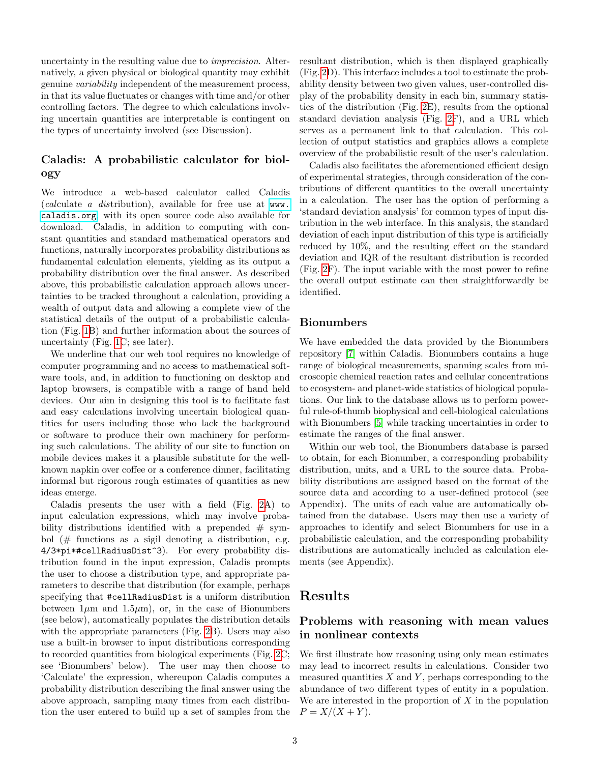uncertainty in the resulting value due to *imprecision*. Alternatively, a given physical or biological quantity may exhibit genuine variability independent of the measurement process, in that its value fluctuates or changes with time and/or other controlling factors. The degree to which calculations involving uncertain quantities are interpretable is contingent on the types of uncertainty involved (see Discussion).

#### Caladis: A probabilistic calculator for biology

We introduce a web-based calculator called Caladis (calculate a distribution), available for free use at [www.](www.caladis.org) [caladis.org](www.caladis.org), with its open source code also available for download. Caladis, in addition to computing with constant quantities and standard mathematical operators and functions, naturally incorporates probability distributions as fundamental calculation elements, yielding as its output a probability distribution over the final answer. As described above, this probabilistic calculation approach allows uncertainties to be tracked throughout a calculation, providing a wealth of output data and allowing a complete view of the statistical details of the output of a probabilistic calculation (Fig. [1B](#page-1-0)) and further information about the sources of uncertainty (Fig. [1C](#page-1-0); see later).

We underline that our web tool requires no knowledge of computer programming and no access to mathematical software tools, and, in addition to functioning on desktop and laptop browsers, is compatible with a range of hand held devices. Our aim in designing this tool is to facilitate fast and easy calculations involving uncertain biological quantities for users including those who lack the background or software to produce their own machinery for performing such calculations. The ability of our site to function on mobile devices makes it a plausible substitute for the wellknown napkin over coffee or a conference dinner, facilitating informal but rigorous rough estimates of quantities as new ideas emerge.

Caladis presents the user with a field (Fig. [2A](#page-3-0)) to input calculation expressions, which may involve probability distributions identified with a prepended  $# sym$ bol  $(\#$  functions as a sigil denoting a distribution, e.g. 4/3\*pi\*#cellRadiusDist^3). For every probability distribution found in the input expression, Caladis prompts the user to choose a distribution type, and appropriate parameters to describe that distribution (for example, perhaps specifying that #cellRadiusDist is a uniform distribution between  $1\mu$ m and  $1.5\mu$ m), or, in the case of Bionumbers (see below), automatically populates the distribution details with the appropriate parameters (Fig. [2B](#page-3-0)). Users may also use a built-in browser to input distributions corresponding to recorded quantities from biological experiments (Fig. [2C](#page-3-0); see 'Bionumbers' below). The user may then choose to 'Calculate' the expression, whereupon Caladis computes a probability distribution describing the final answer using the above approach, sampling many times from each distribution the user entered to build up a set of samples from the resultant distribution, which is then displayed graphically (Fig. [2D](#page-3-0)). This interface includes a tool to estimate the probability density between two given values, user-controlled display of the probability density in each bin, summary statistics of the distribution (Fig. [2E](#page-3-0)), results from the optional standard deviation analysis (Fig. [2F](#page-3-0)), and a URL which serves as a permanent link to that calculation. This collection of output statistics and graphics allows a complete overview of the probabilistic result of the user's calculation.

Caladis also facilitates the aforementioned efficient design of experimental strategies, through consideration of the contributions of different quantities to the overall uncertainty in a calculation. The user has the option of performing a 'standard deviation analysis' for common types of input distribution in the web interface. In this analysis, the standard deviation of each input distribution of this type is artificially reduced by 10%, and the resulting effect on the standard deviation and IQR of the resultant distribution is recorded (Fig. [2F](#page-3-0)). The input variable with the most power to refine the overall output estimate can then straightforwardly be identified.

#### Bionumbers

We have embedded the data provided by the Bionumbers repository [\[7\]](#page-6-6) within Caladis. Bionumbers contains a huge range of biological measurements, spanning scales from microscopic chemical reaction rates and cellular concentrations to ecosystem- and planet-wide statistics of biological populations. Our link to the database allows us to perform powerful rule-of-thumb biophysical and cell-biological calculations with Bionumbers [\[5\]](#page-6-4) while tracking uncertainties in order to estimate the ranges of the final answer.

Within our web tool, the Bionumbers database is parsed to obtain, for each Bionumber, a corresponding probability distribution, units, and a URL to the source data. Probability distributions are assigned based on the format of the source data and according to a user-defined protocol (see Appendix). The units of each value are automatically obtained from the database. Users may then use a variety of approaches to identify and select Bionumbers for use in a probabilistic calculation, and the corresponding probability distributions are automatically included as calculation elements (see Appendix).

### Results

#### Problems with reasoning with mean values in nonlinear contexts

We first illustrate how reasoning using only mean estimates may lead to incorrect results in calculations. Consider two measured quantities  $X$  and  $Y$ , perhaps corresponding to the abundance of two different types of entity in a population. We are interested in the proportion of  $X$  in the population  $P = X/(X + Y).$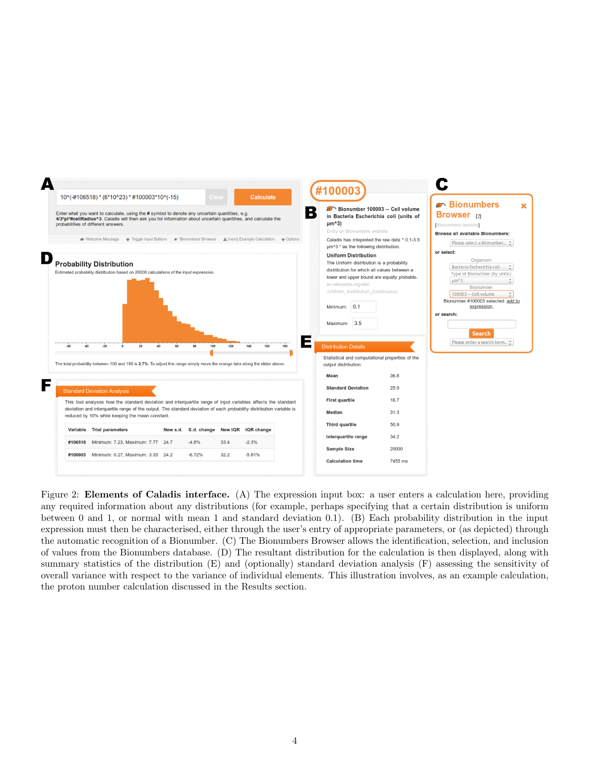

<span id="page-3-0"></span>Figure 2: **Elements of Caladis interface.** (A) The expression input box: a user enters a calculation here, providing any required information about any distributions (for example, perhaps specifying that a certain distribution is uniform between 0 and 1, or normal with mean 1 and standard deviation 0.1). (B) Each probability distribution in the input expression must then be characterised, either through the user's entry of appropriate parameters, or (as depicted) through the automatic recognition of a Bionumber. (C) The Bionumbers Browser allows the identification, selection, and inclusion of values from the Bionumbers database. (D) The resultant distribution for the calculation is then displayed, along with summary statistics of the distribution (E) and (optionally) standard deviation analysis (F) assessing the sensitivity of overall variance with respect to the variance of individual elements. This illustration involves, as an example calculation, the proton number calculation discussed in the Results section.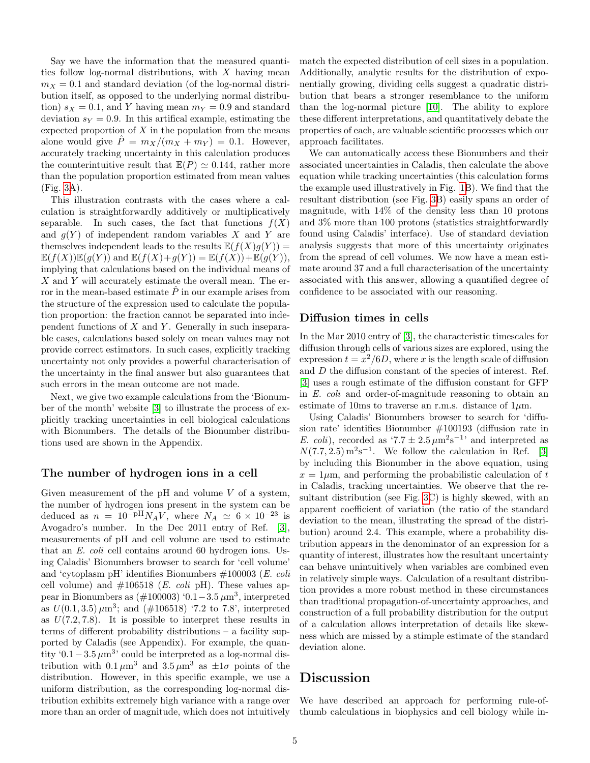Say we have the information that the measured quantities follow log-normal distributions, with  $X$  having mean  $m_X = 0.1$  and standard deviation (of the log-normal distribution itself, as opposed to the underlying normal distribution)  $s_X = 0.1$ , and Y having mean  $m_Y = 0.9$  and standard deviation  $s_Y = 0.9$ . In this artifical example, estimating the expected proportion of  $X$  in the population from the means alone would give  $\hat{P} = m_X/(m_X + m_Y) = 0.1$ . However, accurately tracking uncertainty in this calculation produces the counterintuitive result that  $\mathbb{E}(P) \simeq 0.144$ , rather more than the population proportion estimated from mean values (Fig. [3A](#page-5-0)).

This illustration contrasts with the cases where a calculation is straightforwardly additively or multiplicatively separable. In such cases, the fact that functions  $f(X)$ and  $q(Y)$  of independent random variables X and Y are themselves independent leads to the results  $\mathbb{E}(f(X)g(Y)) =$  $\mathbb{E}(f(X))\mathbb{E}(g(Y))$  and  $\mathbb{E}(f(X)+g(Y)) = \mathbb{E}(f(X))+\mathbb{E}(g(Y)),$ implying that calculations based on the individual means of  $X$  and  $Y$  will accurately estimate the overall mean. The error in the mean-based estimate  $\tilde{P}$  in our example arises from the structure of the expression used to calculate the population proportion: the fraction cannot be separated into independent functions of  $X$  and  $Y$ . Generally in such inseparable cases, calculations based solely on mean values may not provide correct estimators. In such cases, explicitly tracking uncertainty not only provides a powerful characterisation of the uncertainty in the final answer but also guarantees that such errors in the mean outcome are not made.

Next, we give two example calculations from the 'Bionumber of the month' website [\[3\]](#page-6-2) to illustrate the process of explicitly tracking uncertainties in cell biological calculations with Bionumbers. The details of the Bionumber distributions used are shown in the Appendix.

#### The number of hydrogen ions in a cell

Given measurement of the  $pH$  and volume  $V$  of a system, the number of hydrogen ions present in the system can be deduced as  $n = 10^{-pH}N_AV$ , where  $N_A \simeq 6 \times 10^{-23}$  is Avogadro's number. In the Dec 2011 entry of Ref. [\[3\]](#page-6-2), measurements of pH and cell volume are used to estimate that an E. coli cell contains around 60 hydrogen ions. Using Caladis' Bionumbers browser to search for 'cell volume' and 'cytoplasm pH' identifies Bionumbers #100003 (E. coli cell volume) and  $\#106518$  (*E. coli* pH). These values appear in Bionumbers as  $(\text{\#100003})$  '0.1 – 3.5  $\mu$ m<sup>3</sup>, interpreted as  $U(0.1, 3.5) \mu m^3$ ; and  $(\#106518)$  '7.2 to 7.8', interpreted as  $U(7.2, 7.8)$ . It is possible to interpret these results in terms of different probability distributions – a facility supported by Caladis (see Appendix). For example, the quantity '0.1 – 3.5  $\mu$ m<sup>3</sup>' could be interpreted as a log-normal distribution with  $0.1 \mu m^3$  and  $3.5 \mu m^3$  as  $\pm 1\sigma$  points of the distribution. However, in this specific example, we use a uniform distribution, as the corresponding log-normal distribution exhibits extremely high variance with a range over more than an order of magnitude, which does not intuitively

match the expected distribution of cell sizes in a population. Additionally, analytic results for the distribution of exponentially growing, dividing cells suggest a quadratic distribution that bears a stronger resemblance to the uniform than the log-normal picture [\[10\]](#page-6-9). The ability to explore these different interpretations, and quantitatively debate the properties of each, are valuable scientific processes which our approach facilitates.

We can automatically access these Bionumbers and their associated uncertainties in Caladis, then calculate the above equation while tracking uncertainties (this calculation forms the example used illustratively in Fig. [1B](#page-1-0)). We find that the resultant distribution (see Fig. [3B](#page-5-0)) easily spans an order of magnitude, with 14% of the density less than 10 protons and 3% more than 100 protons (statistics straightforwardly found using Caladis' interface). Use of standard deviation analysis suggests that more of this uncertainty originates from the spread of cell volumes. We now have a mean estimate around 37 and a full characterisation of the uncertainty associated with this answer, allowing a quantified degree of confidence to be associated with our reasoning.

#### Diffusion times in cells

In the Mar 2010 entry of [\[3\]](#page-6-2), the characteristic timescales for diffusion through cells of various sizes are explored, using the expression  $t = x^2/6D$ , where x is the length scale of diffusion and D the diffusion constant of the species of interest. Ref. [\[3\]](#page-6-2) uses a rough estimate of the diffusion constant for GFP in E. coli and order-of-magnitude reasoning to obtain an estimate of 10ms to traverse an r.m.s. distance of  $1\mu$ m.

Using Caladis' Bionumbers browser to search for 'diffusion rate' identifies Bionumber #100193 (diffusion rate in E. coli), recorded as '7.7  $\pm 2.5 \,\mu \text{m}^2 \text{s}^{-1}$ ' and interpreted as  $N(7.7, 2.5)$  m<sup>2</sup>s<sup>-1</sup>. We follow the calculation in Ref. [\[3\]](#page-6-2) by including this Bionumber in the above equation, using  $x = 1 \mu m$ , and performing the probabilistic calculation of t in Caladis, tracking uncertainties. We observe that the resultant distribution (see Fig. [3C](#page-5-0)) is highly skewed, with an apparent coefficient of variation (the ratio of the standard deviation to the mean, illustrating the spread of the distribution) around 2.4. This example, where a probability distribution appears in the denominator of an expression for a quantity of interest, illustrates how the resultant uncertainty can behave unintuitively when variables are combined even in relatively simple ways. Calculation of a resultant distribution provides a more robust method in these circumstances than traditional propagation-of-uncertainty approaches, and construction of a full probability distribution for the output of a calculation allows interpretation of details like skewness which are missed by a stimple estimate of the standard deviation alone.

### Discussion

We have described an approach for performing rule-ofthumb calculations in biophysics and cell biology while in-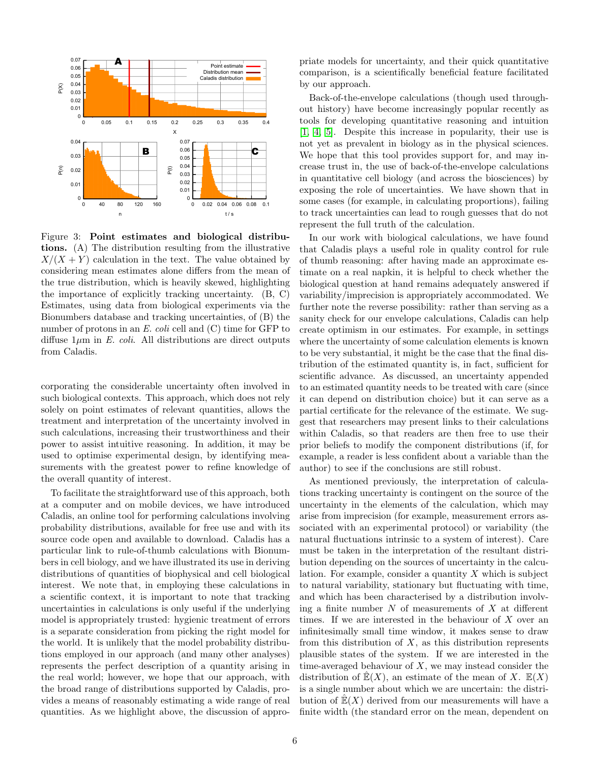

<span id="page-5-0"></span>Figure 3: Point estimates and biological distributions. (A) The distribution resulting from the illustrative  $X/(X + Y)$  calculation in the text. The value obtained by considering mean estimates alone differs from the mean of the true distribution, which is heavily skewed, highlighting the importance of explicitly tracking uncertainty. (B, C) Estimates, using data from biological experiments via the Bionumbers database and tracking uncertainties, of (B) the number of protons in an  $E.$  coli cell and  $(C)$  time for GFP to diffuse  $1\mu$ m in E. coli. All distributions are direct outputs from Caladis.

corporating the considerable uncertainty often involved in such biological contexts. This approach, which does not rely solely on point estimates of relevant quantities, allows the treatment and interpretation of the uncertainty involved in such calculations, increasing their trustworthiness and their power to assist intuitive reasoning. In addition, it may be used to optimise experimental design, by identifying measurements with the greatest power to refine knowledge of the overall quantity of interest.

To facilitate the straightforward use of this approach, both at a computer and on mobile devices, we have introduced Caladis, an online tool for performing calculations involving probability distributions, available for free use and with its source code open and available to download. Caladis has a particular link to rule-of-thumb calculations with Bionumbers in cell biology, and we have illustrated its use in deriving distributions of quantities of biophysical and cell biological interest. We note that, in employing these calculations in a scientific context, it is important to note that tracking uncertainties in calculations is only useful if the underlying model is appropriately trusted: hygienic treatment of errors is a separate consideration from picking the right model for the world. It is unlikely that the model probability distributions employed in our approach (and many other analyses) represents the perfect description of a quantity arising in the real world; however, we hope that our approach, with the broad range of distributions supported by Caladis, provides a means of reasonably estimating a wide range of real quantities. As we highlight above, the discussion of appropriate models for uncertainty, and their quick quantitative comparison, is a scientifically beneficial feature facilitated by our approach.

Back-of-the-envelope calculations (though used throughout history) have become increasingly popular recently as tools for developing quantitative reasoning and intuition [\[1,](#page-6-0) [4,](#page-6-3) [5\]](#page-6-4). Despite this increase in popularity, their use is not yet as prevalent in biology as in the physical sciences. We hope that this tool provides support for, and may increase trust in, the use of back-of-the-envelope calculations in quantitative cell biology (and across the biosciences) by exposing the role of uncertainties. We have shown that in some cases (for example, in calculating proportions), failing to track uncertainties can lead to rough guesses that do not represent the full truth of the calculation.

In our work with biological calculations, we have found that Caladis plays a useful role in quality control for rule of thumb reasoning: after having made an approximate estimate on a real napkin, it is helpful to check whether the biological question at hand remains adequately answered if variability/imprecision is appropriately accommodated. We further note the reverse possibility: rather than serving as a sanity check for our envelope calculations, Caladis can help create optimism in our estimates. For example, in settings where the uncertainty of some calculation elements is known to be very substantial, it might be the case that the final distribution of the estimated quantity is, in fact, sufficient for scientific advance. As discussed, an uncertainty appended to an estimated quantity needs to be treated with care (since it can depend on distribution choice) but it can serve as a partial certificate for the relevance of the estimate. We suggest that researchers may present links to their calculations within Caladis, so that readers are then free to use their prior beliefs to modify the component distributions (if, for example, a reader is less confident about a variable than the author) to see if the conclusions are still robust.

As mentioned previously, the interpretation of calculations tracking uncertainty is contingent on the source of the uncertainty in the elements of the calculation, which may arise from imprecision (for example, measurement errors associated with an experimental protocol) or variability (the natural fluctuations intrinsic to a system of interest). Care must be taken in the interpretation of the resultant distribution depending on the sources of uncertainty in the calculation. For example, consider a quantity  $X$  which is subject to natural variability, stationary but fluctuating with time, and which has been characterised by a distribution involving a finite number  $N$  of measurements of  $X$  at different times. If we are interested in the behaviour of  $X$  over an infinitesimally small time window, it makes sense to draw from this distribution of  $X$ , as this distribution represents plausible states of the system. If we are interested in the time-averaged behaviour of  $X$ , we may instead consider the distribution of  $\mathbb{E}(X)$ , an estimate of the mean of X.  $\mathbb{E}(X)$ is a single number about which we are uncertain: the distribution of  $\mathbb{E}(X)$  derived from our measurements will have a finite width (the standard error on the mean, dependent on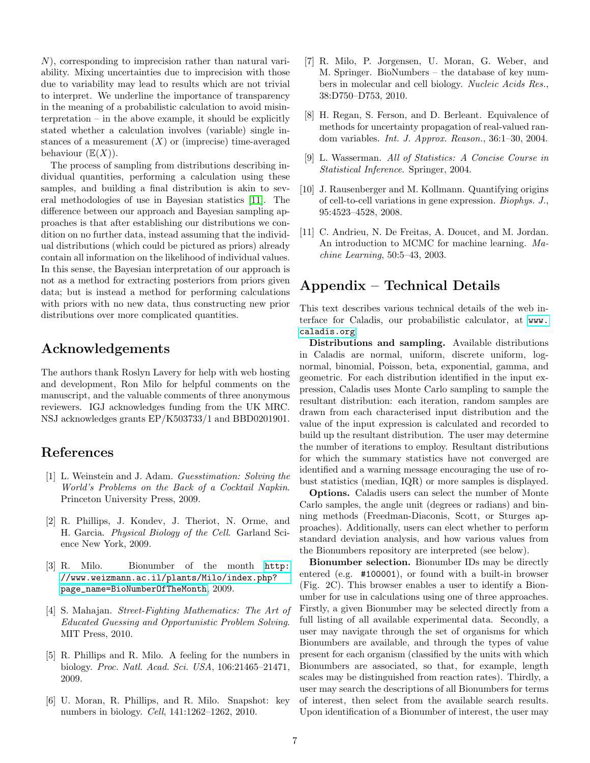N), corresponding to imprecision rather than natural variability. Mixing uncertainties due to imprecision with those due to variability may lead to results which are not trivial to interpret. We underline the importance of transparency in the meaning of a probabilistic calculation to avoid misinterpretation – in the above example, it should be explicitly stated whether a calculation involves (variable) single instances of a measurement  $(X)$  or (imprecise) time-averaged behaviour  $(\mathbb{E}(X))$ .

The process of sampling from distributions describing individual quantities, performing a calculation using these samples, and building a final distribution is akin to several methodologies of use in Bayesian statistics [\[11\]](#page-6-10). The difference between our approach and Bayesian sampling approaches is that after establishing our distributions we condition on no further data, instead assuming that the individual distributions (which could be pictured as priors) already contain all information on the likelihood of individual values. In this sense, the Bayesian interpretation of our approach is not as a method for extracting posteriors from priors given data; but is instead a method for performing calculations with priors with no new data, thus constructing new prior distributions over more complicated quantities.

## Acknowledgements

The authors thank Roslyn Lavery for help with web hosting and development, Ron Milo for helpful comments on the manuscript, and the valuable comments of three anonymous reviewers. IGJ acknowledges funding from the UK MRC. NSJ acknowledges grants EP/K503733/1 and BBD0201901.

### References

- <span id="page-6-0"></span>[1] L. Weinstein and J. Adam. Guesstimation: Solving the World's Problems on the Back of a Cocktail Napkin. Princeton University Press, 2009.
- <span id="page-6-1"></span>[2] R. Phillips, J. Kondev, J. Theriot, N. Orme, and H. Garcia. Physical Biology of the Cell. Garland Science New York, 2009.
- <span id="page-6-2"></span>[3] R. Milo. Bionumber of the month [http:](http://www.weizmann.ac.il/plants/Milo/index.php?page_name=BioNumberOfTheMonth) [//www.weizmann.ac.il/plants/Milo/index.php?](http://www.weizmann.ac.il/plants/Milo/index.php?page_name=BioNumberOfTheMonth) [page\\_name=BioNumberOfTheMonth](http://www.weizmann.ac.il/plants/Milo/index.php?page_name=BioNumberOfTheMonth), 2009.
- <span id="page-6-3"></span>[4] S. Mahajan. Street-Fighting Mathematics: The Art of Educated Guessing and Opportunistic Problem Solving. MIT Press, 2010.
- <span id="page-6-4"></span>[5] R. Phillips and R. Milo. A feeling for the numbers in biology. Proc. Natl. Acad. Sci. USA, 106:21465–21471, 2009.
- <span id="page-6-5"></span>[6] U. Moran, R. Phillips, and R. Milo. Snapshot: key numbers in biology. Cell, 141:1262–1262, 2010.
- <span id="page-6-6"></span>[7] R. Milo, P. Jorgensen, U. Moran, G. Weber, and M. Springer. BioNumbers – the database of key numbers in molecular and cell biology. Nucleic Acids Res., 38:D750–D753, 2010.
- <span id="page-6-7"></span>[8] H. Regan, S. Ferson, and D. Berleant. Equivalence of methods for uncertainty propagation of real-valued random variables. Int. J. Approx. Reason., 36:1–30, 2004.
- <span id="page-6-8"></span>[9] L. Wasserman. All of Statistics: A Concise Course in Statistical Inference. Springer, 2004.
- <span id="page-6-9"></span>[10] J. Rausenberger and M. Kollmann. Quantifying origins of cell-to-cell variations in gene expression. Biophys. J., 95:4523–4528, 2008.
- <span id="page-6-10"></span>[11] C. Andrieu, N. De Freitas, A. Doucet, and M. Jordan. An introduction to MCMC for machine learning. Machine Learning, 50:5–43, 2003.

# Appendix – Technical Details

This text describes various technical details of the web interface for Caladis, our probabilistic calculator, at [www.](www.caladis.org) [caladis.org](www.caladis.org).

Distributions and sampling. Available distributions in Caladis are normal, uniform, discrete uniform, lognormal, binomial, Poisson, beta, exponential, gamma, and geometric. For each distribution identified in the input expression, Caladis uses Monte Carlo sampling to sample the resultant distribution: each iteration, random samples are drawn from each characterised input distribution and the value of the input expression is calculated and recorded to build up the resultant distribution. The user may determine the number of iterations to employ. Resultant distributions for which the summary statistics have not converged are identified and a warning message encouraging the use of robust statistics (median, IQR) or more samples is displayed.

Options. Caladis users can select the number of Monte Carlo samples, the angle unit (degrees or radians) and binning methods (Freedman-Diaconis, Scott, or Sturges approaches). Additionally, users can elect whether to perform standard deviation analysis, and how various values from the Bionumbers repository are interpreted (see below).

Bionumber selection. Bionumber IDs may be directly entered (e.g. #100001), or found with a built-in browser (Fig. 2C). This browser enables a user to identify a Bionumber for use in calculations using one of three approaches. Firstly, a given Bionumber may be selected directly from a full listing of all available experimental data. Secondly, a user may navigate through the set of organisms for which Bionumbers are available, and through the types of value present for each organism (classified by the units with which Bionumbers are associated, so that, for example, length scales may be distinguished from reaction rates). Thirdly, a user may search the descriptions of all Bionumbers for terms of interest, then select from the available search results. Upon identification of a Bionumber of interest, the user may